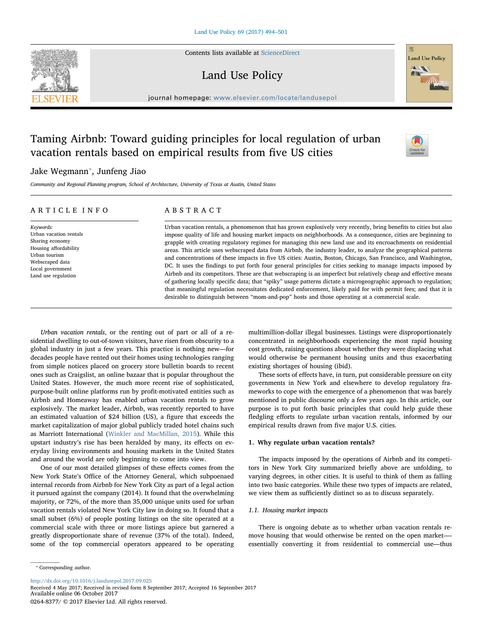Contents lists available at [ScienceDirect](http://www.sciencedirect.com/science/journal/02648377)

Land Use Policy



journal homepage: [www.elsevier.com/locate/landusepol](https://www.elsevier.com/locate/landusepol)

# Taming Airbnb: Toward guiding principles for local regulation of urban vacation rentals based on empirical results from five US cities



# Jake Wegmann<sup>\*</sup>, Junfeng Jiao

Community and Regional Planning program, School of Architecture, University of Texas at Austin, United States

| ARTICLE INFO                                                                                                                                                   | ABSTRACT                                                                                                                                                                                                                                                                                                                                                                                                                                                                                                                                                                                                                                                                                                                                                                                                                                                                                                                                                                                                                                                                                                                                                              |
|----------------------------------------------------------------------------------------------------------------------------------------------------------------|-----------------------------------------------------------------------------------------------------------------------------------------------------------------------------------------------------------------------------------------------------------------------------------------------------------------------------------------------------------------------------------------------------------------------------------------------------------------------------------------------------------------------------------------------------------------------------------------------------------------------------------------------------------------------------------------------------------------------------------------------------------------------------------------------------------------------------------------------------------------------------------------------------------------------------------------------------------------------------------------------------------------------------------------------------------------------------------------------------------------------------------------------------------------------|
| Keywords:<br>Urban vacation rentals<br>Sharing economy<br>Housing affordability<br>Urban tourism<br>Webscraped data<br>Local government<br>Land use regulation | Urban vacation rentals, a phenomenon that has grown explosively very recently, bring benefits to cities but also<br>impose quality of life and housing market impacts on neighborhoods. As a consequence, cities are beginning to<br>grapple with creating regulatory regimes for managing this new land use and its encroachments on residential<br>areas. This article uses webscraped data from Airbnb, the industry leader, to analyze the geographical patterns<br>and concentrations of these impacts in five US cities: Austin, Boston, Chicago, San Francisco, and Washington,<br>DC. It uses the findings to put forth four general principles for cities seeking to manage impacts imposed by<br>Airbnb and its competitors. These are that webscraping is an imperfect but relatively cheap and effective means<br>of gathering locally specific data; that "spiky" usage patterns dictate a microgeographic approach to regulation;<br>that meaningful regulation necessitates dedicated enforcement, likely paid for with permit fees; and that it is<br>desirable to distinguish between "mom-and-pop" hosts and those operating at a commercial scale. |

Urban vacation rentals, or the renting out of part or all of a residential dwelling to out-of-town visitors, have risen from obscurity to a global industry in just a few years. This practice is nothing new—for decades people have rented out their homes using technologies ranging from simple notices placed on grocery store bulletin boards to recent ones such as Craigslist, an online bazaar that is popular throughout the United States. However, the much more recent rise of sophisticated, purpose-built online platforms run by profit-motivated entities such as Airbnb and Homeaway has enabled urban vacation rentals to grow explosively. The market leader, Airbnb, was recently reported to have an estimated valuation of \$24 billion (US), a figure that exceeds the market capitalization of major global publicly traded hotel chains such as Marriott International ([Winkler and MacMillan, 2015\)](#page-7-0). While this upstart industry's rise has been heralded by many, its effects on everyday living environments and housing markets in the United States and around the world are only beginning to come into view.

One of our most detailed glimpses of these effects comes from the New York State's Office of the Attorney General, which subpoenaed internal records from Airbnb for New York City as part of a legal action it pursued against the company (2014). It found that the overwhelming majority, or 72%, of the more than 35,000 unique units used for urban vacation rentals violated New York City law in doing so. It found that a small subset (6%) of people posting listings on the site operated at a commercial scale with three or more listings apiece but garnered a greatly disproportionate share of revenue (37% of the total). Indeed, some of the top commercial operators appeared to be operating multimillion-dollar illegal businesses. Listings were disproportionately concentrated in neighborhoods experiencing the most rapid housing cost growth, raising questions about whether they were displacing what would otherwise be permanent housing units and thus exacerbating existing shortages of housing (ibid).

These sorts of effects have, in turn, put considerable pressure on city governments in New York and elsewhere to develop regulatory frameworks to cope with the emergence of a phenomenon that was barely mentioned in public discourse only a few years ago. In this article, our purpose is to put forth basic principles that could help guide these fledgling efforts to regulate urban vacation rentals, informed by our empirical results drawn from five major U.S. cities.

### 1. Why regulate urban vacation rentals?

The impacts imposed by the operations of Airbnb and its competitors in New York City summarized briefly above are unfolding, to varying degrees, in other cities. It is useful to think of them as falling into two basic categories. While these two types of impacts are related, we view them as sufficiently distinct so as to discuss separately.

### 1.1. Housing market impacts

There is ongoing debate as to whether urban vacation rentals remove housing that would otherwise be rented on the open market— essentially converting it from residential to commercial use—thus

<span id="page-0-0"></span>⁎ Corresponding author.

<http://dx.doi.org/10.1016/j.landusepol.2017.09.025>

Received 4 May 2017; Received in revised form 8 September 2017; Accepted 16 September 2017 Available online 06 October 2017

0264-8377/ © 2017 Elsevier Ltd. All rights reserved.

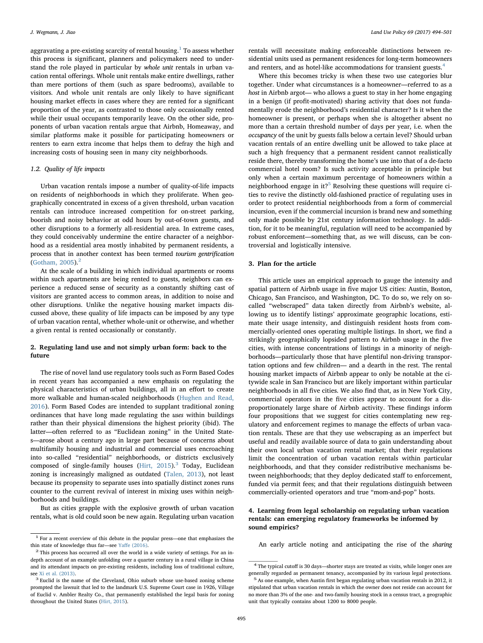aggravating a pre-existing scarcity of rental housing.<sup>[1](#page-1-0)</sup> To assess whether this process is significant, planners and policymakers need to understand the role played in particular by whole unit rentals in urban vacation rental offerings. Whole unit rentals make entire dwellings, rather than mere portions of them (such as spare bedrooms), available to visitors. And whole unit rentals are only likely to have significant housing market effects in cases where they are rented for a significant proportion of the year, as contrasted to those only occasionally rented while their usual occupants temporarily leave. On the other side, proponents of urban vacation rentals argue that Airbnb, Homeaway, and similar platforms make it possible for participating homeowners or renters to earn extra income that helps them to defray the high and increasing costs of housing seen in many city neighborhoods.

### 1.2. Quality of life impacts

Urban vacation rentals impose a number of quality-of-life impacts on residents of neighborhoods in which they proliferate. When geographically concentrated in excess of a given threshold, urban vacation rentals can introduce increased competition for on-street parking, boorish and noisy behavior at odd hours by out-of-town guests, and other disruptions to a formerly all-residential area. In extreme cases, they could conceivably undermine the entire character of a neighborhood as a residential area mostly inhabited by permanent residents, a process that in another context has been termed tourism gentrification (Gotham,  $2005$  $2005$ ).<sup>2</sup>

At the scale of a building in which individual apartments or rooms within such apartments are being rented to guests, neighbors can experience a reduced sense of security as a constantly shifting cast of visitors are granted access to common areas, in addition to noise and other disruptions. Unlike the negative housing market impacts discussed above, these quality of life impacts can be imposed by any type of urban vacation rental, whether whole-unit or otherwise, and whether a given rental is rented occasionally or constantly.

# 2. Regulating land use and not simply urban form: back to the future

The rise of novel land use regulatory tools such as Form Based Codes in recent years has accompanied a new emphasis on regulating the physical characteristics of urban buildings, all in an effort to create more walkable and human-scaled neighborhoods [\(Hughen and Read,](#page-7-2) [2016\)](#page-7-2). Form Based Codes are intended to supplant traditional zoning ordinances that have long made regulating the uses within buildings rather than their physical dimensions the highest priority (ibid). The latter—often referred to as "Euclidean zoning" in the United States—arose about a century ago in large part because of concerns about multifamily housing and industrial and commercial uses encroaching into so-called "residential" neighborhoods, or districts exclusively composed of single-family houses ([Hirt, 2015](#page-7-3)).<sup>[3](#page-1-2)</sup> Today, Euclidean zoning is increasingly maligned as outdated [\(Talen, 2013](#page-7-4)), not least because its propensity to separate uses into spatially distinct zones runs counter to the current revival of interest in mixing uses within neighborhoods and buildings.

But as cities grapple with the explosive growth of urban vacation rentals, what is old could soon be new again. Regulating urban vacation

rentals will necessitate making enforceable distinctions between residential units used as permanent residences for long-term homeowners and renters, and as hotel-like accommodations for transient guests.<sup>[4](#page-1-3)</sup>

Where this becomes tricky is when these two use categories blur together. Under what circumstances is a homeowner—referred to as a host in Airbnb argot— who allows a guest to stay in her home engaging in a benign (if profit-motivated) sharing activity that does not fundamentally erode the neighborhood's residential character? Is it when the homeowner is present, or perhaps when she is altogether absent no more than a certain threshold number of days per year, i.e. when the occupancy of the unit by guests falls below a certain level? Should urban vacation rentals of an entire dwelling unit be allowed to take place at such a high frequency that a permanent resident cannot realistically reside there, thereby transforming the home's use into that of a de-facto commercial hotel room? Is such activity acceptable in principle but only when a certain maximum percentage of homeowners within a neighborhood engage in it?<sup>[5](#page-1-4)</sup> Resolving these questions will require cities to revive the distinctly old-fashioned practice of regulating uses in order to protect residential neighborhoods from a form of commercial incursion, even if the commercial incursion is brand new and something only made possible by 21st century information technology. In addition, for it to be meaningful, regulation will need to be accompanied by robust enforcement—something that, as we will discuss, can be controversial and logistically intensive.

# 3. Plan for the article

This article uses an empirical approach to gauge the intensity and spatial pattern of Airbnb usage in five major US cities: Austin, Boston, Chicago, San Francisco, and Washington, DC. To do so, we rely on socalled "webscraped" data taken directly from Airbnb's website, allowing us to identify listings' approximate geographic locations, estimate their usage intensity, and distinguish resident hosts from commercially-oriented ones operating multiple listings. In short, we find a strikingly geographically lopsided pattern to Airbnb usage in the five cities, with intense concentrations of listings in a minority of neighborhoods—particularly those that have plentiful non-driving transportation options and few children— and a dearth in the rest. The rental housing market impacts of Airbnb appear to only be notable at the citywide scale in San Francisco but are likely important within particular neighborhoods in all five cities. We also find that, as in New York City, commercial operators in the five cities appear to account for a disproportionately large share of Airbnb activity. These findings inform four propositions that we suggest for cities contemplating new regulatory and enforcement regimes to manage the effects of urban vacation rentals. These are that they use webscraping as an imperfect but useful and readily available source of data to gain understanding about their own local urban vacation rental market; that their regulations limit the concentration of urban vacation rentals within particular neighborhoods, and that they consider redistributive mechanisms between neighborhoods; that they deploy dedicated staff to enforcement, funded via permit fees; and that their regulations distinguish between commercially-oriented operators and true "mom-and-pop" hosts.

# 4. Learning from legal scholarship on regulating urban vacation rentals: can emerging regulatory frameworks be informed by sound empirics?

An early article noting and anticipating the rise of the sharing

<span id="page-1-0"></span><sup>&</sup>lt;sup>1</sup> For a recent overview of this debate in the popular press—one that emphasizes the thin state of knowledge thus far—see Yaffe  $(2016)$ .

<span id="page-1-1"></span> $2$  This process has occurred all over the world in a wide variety of settings. For an indepth account of an example unfolding over a quarter century in a rural village in China and its attendant impacts on pre-existing residents, including loss of traditional culture,

<span id="page-1-2"></span>see [Xi et al. \(2013\)](#page-7-6).  $3 \text{ Euclid}$  is the name of the Cleveland, Ohio suburb whose use-based zoning scheme prompted the lawsuit that led to the landmark U.S. Supreme Court case in 1926, Village of Euclid v. Ambler Realty Co., that permanently established the legal basis for zoning throughout the United States ([Hirt, 2015](#page-7-3)).

<span id="page-1-3"></span><sup>4</sup> The typical cutoff is 30 days—shorter stays are treated as visits, while longer ones are generally regarded as permanent tenancy, accompanied by its various legal protections. <sup>5</sup> As one example, when Austin first began regulating urban vacation rentals in 2012, it

<span id="page-1-4"></span>stipulated that urban vacation rentals in which the owner does not reside can account for no more than 3% of the one- and two-family housing stock in a census tract, a geographic unit that typically contains about 1200 to 8000 people.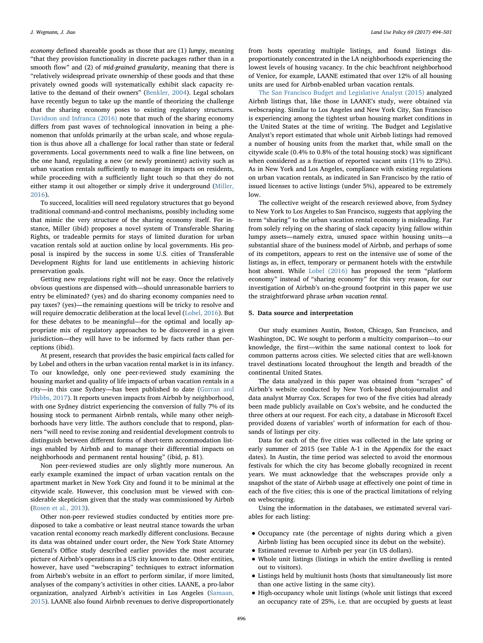economy defined shareable goods as those that are (1) lumpy, meaning "that they provision functionality in discrete packages rather than in a smooth flow" and (2) of mid-grained granularity, meaning that there is "relatively widespread private ownership of these goods and that these privately owned goods will systematically exhibit slack capacity relative to the demand of their owners" [\(Benkler, 2004](#page-7-7)). Legal scholars have recently begun to take up the mantle of theorizing the challenge that the sharing economy poses to existing regulatory structures. [Davidson and Infranca \(2016\)](#page-7-8) note that much of the sharing economy differs from past waves of technological innovation in being a phenomenon that unfolds primarily at the urban scale, and whose regulation is thus above all a challenge for local rather than state or federal governments. Local governments need to walk a fine line between, on the one hand, regulating a new (or newly prominent) activity such as urban vacation rentals sufficiently to manage its impacts on residents, while proceeding with a sufficiently light touch so that they do not either stamp it out altogether or simply drive it underground [\(Miller,](#page-7-9) [2016\)](#page-7-9).

To succeed, localities will need regulatory structures that go beyond traditional command-and-control mechanisms, possibly including some that mimic the very structure of the sharing economy itself. For instance, Miller (ibid) proposes a novel system of Transferable Sharing Rights, or tradeable permits for stays of limited duration for urban vacation rentals sold at auction online by local governments. His proposal is inspired by the success in some U.S. cities of Transferable Development Rights for land use entitlements in achieving historic preservation goals.

Getting new regulations right will not be easy. Once the relatively obvious questions are dispensed with—should unreasonable barriers to entry be eliminated? (yes) and do sharing economy companies need to pay taxes? (yes)—the remaining questions will be tricky to resolve and will require democratic deliberation at the local level [\(Lobel, 2016](#page-7-10)). But for these debates to be meaningful—for the optimal and locally appropriate mix of regulatory approaches to be discovered in a given jurisdiction—they will have to be informed by facts rather than perceptions (ibid).

At present, research that provides the basic empirical facts called for by Lobel and others in the urban vacation rental market is in its infancy. To our knowledge, only one peer-reviewed study examining the housing market and quality of life impacts of urban vacation rentals in a city—in this case Sydney—has been published to date ([Gurran and](#page-7-11) [Phibbs, 2017](#page-7-11)). It reports uneven impacts from Airbnb by neighborhood, with one Sydney district experiencing the conversion of fully 7% of its housing stock to permanent Airbnb rentals, while many other neighborhoods have very little. The authors conclude that to respond, planners "will need to revise zoning and residential development controls to distinguish between different forms of short-term accommodation listings enabled by Airbnb and to manage their differential impacts on neighborhoods and permanent rental housing" (ibid, p. 81).

Non peer-reviewed studies are only slightly more numerous. An early example examined the impact of urban vacation rentals on the apartment market in New York City and found it to be minimal at the citywide scale. However, this conclusion must be viewed with considerable skepticism given that the study was commissioned by Airbnb ([Rosen et al., 2013](#page-7-12)).

Other non-peer reviewed studies conducted by entities more predisposed to take a combative or least neutral stance towards the urban vacation rental economy reach markedly different conclusions. Because its data was obtained under court order, the New York State Attorney General's Office study described earlier provides the most accurate picture of Airbnb's operations in a US city known to date. Other entities, however, have used "webscraping" techniques to extract information from Airbnb's website in an effort to perform similar, if more limited, analyses of the company's activities in other cities. LAANE, a pro-labor organization, analyzed Airbnb's activities in Los Angeles ([Samaan,](#page-7-13) [2015\)](#page-7-13). LAANE also found Airbnb revenues to derive disproportionately from hosts operating multiple listings, and found listings disproportionately concentrated in the LA neighborhoods experiencing the lowest levels of housing vacancy. In the chic beachfront neighborhood of Venice, for example, LAANE estimated that over 12% of all housing units are used for Airbnb-enabled urban vacation rentals.

[The San Francisco Budget and Legislative Analyst \(2015\)](#page-7-14) analyzed Airbnb listings that, like those in LAANE's study, were obtained via webscraping. Similar to Los Angeles and New York City, San Francisco is experiencing among the tightest urban housing market conditions in the United States at the time of writing. The Budget and Legislative Analyst's report estimated that whole unit Airbnb listings had removed a number of housing units from the market that, while small on the citywide scale (0.4% to 0.8% of the total housing stock) was significant when considered as a fraction of reported vacant units (11% to 23%). As in New York and Los Angeles, compliance with existing regulations on urban vacation rentals, as indicated in San Francisco by the ratio of issued licenses to active listings (under 5%), appeared to be extremely low.

The collective weight of the research reviewed above, from Sydney to New York to Los Angeles to San Francisco, suggests that applying the term "sharing" to the urban vacation rental economy is misleading. Far from solely relying on the sharing of slack capacity lying fallow within lumpy assets—namely extra, unused space within housing units—a substantial share of the business model of Airbnb, and perhaps of some of its competitors, appears to rest on the intensive use of some of the listings as, in effect, temporary or permanent hotels with the erstwhile host absent. While [Lobel \(2016\)](#page-7-10) has proposed the term "platform economy" instead of "sharing economy" for this very reason, for our investigation of Airbnb's on-the-ground footprint in this paper we use the straightforward phrase urban vacation rental.

#### 5. Data source and interpretation

Our study examines Austin, Boston, Chicago, San Francisco, and Washington, DC. We sought to perform a multicity comparison—to our knowledge, the first—within the same national context to look for common patterns across cities. We selected cities that are well-known travel destinations located throughout the length and breadth of the continental United States.

The data analyzed in this paper was obtained from "scrapes" of Airbnb's website conducted by New York-based photojournalist and data analyst Murray Cox. Scrapes for two of the five cities had already been made publicly available on Cox's website, and he conducted the three others at our request. For each city, a database in Microsoft Excel provided dozens of variables' worth of information for each of thousands of listings per city.

Data for each of the five cities was collected in the late spring or early summer of 2015 (see Table A-1 in the Appendix for the exact dates). In Austin, the time period was selected to avoid the enormous festivals for which the city has become globally recognized in recent years. We must acknowledge that the webscrapes provide only a snapshot of the state of Airbnb usage at effectively one point of time in each of the five cities; this is one of the practical limitations of relying on webscraping.

Using the information in the databases, we estimated several variables for each listing:

- Occupancy rate (the percentage of nights during which a given Airbnb listing has been occupied since its debut on the website).
- Estimated revenue to Airbnb per year (in US dollars).
- Whole unit listings (listings in which the entire dwelling is rented out to visitors).
- Listings held by multiunit hosts (hosts that simultaneously list more than one active listing in the same city).
- High-occupancy whole unit listings (whole unit listings that exceed an occupancy rate of 25%, i.e. that are occupied by guests at least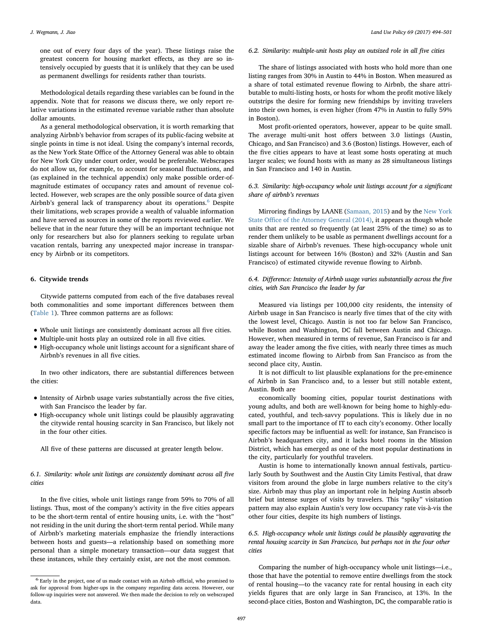one out of every four days of the year). These listings raise the greatest concern for housing market effects, as they are so intensively occupied by guests that it is unlikely that they can be used as permanent dwellings for residents rather than tourists.

Methodological details regarding these variables can be found in the appendix. Note that for reasons we discuss there, we only report relative variations in the estimated revenue variable rather than absolute dollar amounts.

As a general methodological observation, it is worth remarking that analyzing Airbnb's behavior from scrapes of its public-facing website at single points in time is not ideal. Using the company's internal records, as the New York State Office of the Attorney General was able to obtain for New York City under court order, would be preferable. Webscrapes do not allow us, for example, to account for seasonal fluctuations, and (as explained in the technical appendix) only make possible order-ofmagnitude estimates of occupancy rates and amount of revenue collected. However, web scrapes are the only possible source of data given Airbnb's general lack of transparency about its operations.<sup>[6](#page-3-0)</sup> Despite their limitations, web scrapes provide a wealth of valuable information and have served as sources in some of the reports reviewed earlier. We believe that in the near future they will be an important technique not only for researchers but also for planners seeking to regulate urban vacation rentals, barring any unexpected major increase in transparency by Airbnb or its competitors.

### 6. Citywide trends

Citywide patterns computed from each of the five databases reveal both commonalities and some important differences between them ([Table 1](#page-4-0)). Three common patterns are as follows:

- Whole unit listings are consistently dominant across all five cities.
- Multiple-unit hosts play an outsized role in all five cities.
- High-occupancy whole unit listings account for a significant share of Airbnb's revenues in all five cities.

In two other indicators, there are substantial differences between the cities:

- Intensity of Airbnb usage varies substantially across the five cities, with San Francisco the leader by far.
- High-occupancy whole unit listings could be plausibly aggravating the citywide rental housing scarcity in San Francisco, but likely not in the four other cities.

All five of these patterns are discussed at greater length below.

# 6.1. Similarity: whole unit listings are consistently dominant across all five cities

In the five cities, whole unit listings range from 59% to 70% of all listings. Thus, most of the company's activity in the five cities appears to be the short-term rental of entire housing units, i.e. with the "host" not residing in the unit during the short-term rental period. While many of Airbnb's marketing materials emphasize the friendly interactions between hosts and guests—a relationship based on something more personal than a simple monetary transaction—our data suggest that these instances, while they certainly exist, are not the most common.

#### 6.2. Similarity: multiple-unit hosts play an outsized role in all five cities

The share of listings associated with hosts who hold more than one listing ranges from 30% in Austin to 44% in Boston. When measured as a share of total estimated revenue flowing to Airbnb, the share attributable to multi-listing hosts, or hosts for whom the profit motive likely outstrips the desire for forming new friendships by inviting travelers into their own homes, is even higher (from 47% in Austin to fully 59% in Boston).

Most profit-oriented operators, however, appear to be quite small. The average multi-unit host offers between 3.0 listings (Austin, Chicago, and San Francisco) and 3.6 (Boston) listings. However, each of the five cities appears to have at least some hosts operating at much larger scales; we found hosts with as many as 28 simultaneous listings in San Francisco and 140 in Austin.

### 6.3. Similarity: high-occupancy whole unit listings account for a significant share of airbnb's revenues

Mirroring findings by LAANE ([Samaan, 2015\)](#page-7-13) and by the [New York](#page-7-15) State Offi[ce of the Attorney General \(2014\),](#page-7-15) it appears as though whole units that are rented so frequently (at least 25% of the time) so as to render them unlikely to be usable as permanent dwellings account for a sizable share of Airbnb's revenues. These high-occupancy whole unit listings account for between 16% (Boston) and 32% (Austin and San Francisco) of estimated citywide revenue flowing to Airbnb.

# 6.4. Difference: Intensity of Airbnb usage varies substantially across the five cities, with San Francisco the leader by far

Measured via listings per 100,000 city residents, the intensity of Airbnb usage in San Francisco is nearly five times that of the city with the lowest level, Chicago. Austin is not too far below San Francisco, while Boston and Washington, DC fall between Austin and Chicago. However, when measured in terms of revenue, San Francisco is far and away the leader among the five cities, with nearly three times as much estimated income flowing to Airbnb from San Francisco as from the second place city, Austin.

It is not difficult to list plausible explanations for the pre-eminence of Airbnb in San Francisco and, to a lesser but still notable extent, Austin. Both are

economically booming cities, popular tourist destinations with young adults, and both are well-known for being home to highly-educated, youthful, and tech-savvy populations. This is likely due in no small part to the importance of IT to each city's economy. Other locally specific factors may be influential as well: for instance, San Francisco is Airbnb's headquarters city, and it lacks hotel rooms in the Mission District, which has emerged as one of the most popular destinations in the city, particularly for youthful travelers.

Austin is home to internationally known annual festivals, particularly South by Southwest and the Austin City Limits Festival, that draw visitors from around the globe in large numbers relative to the city's size. Airbnb may thus play an important role in helping Austin absorb brief but intense surges of visits by travelers. This "spiky" visitation pattern may also explain Austin's very low occupancy rate vis-à-vis the other four cities, despite its high numbers of listings.

# 6.5. High-occupancy whole unit listings could be plausibly aggravating the rental housing scarcity in San Francisco, but perhaps not in the four other cities

Comparing the number of high-occupancy whole unit listings—i.e., those that have the potential to remove entire dwellings from the stock of rental housing—to the vacancy rate for rental housing in each city yields figures that are only large in San Francisco, at 13%. In the second-place cities, Boston and Washington, DC, the comparable ratio is

<span id="page-3-0"></span><sup>6</sup> Early in the project, one of us made contact with an Airbnb official, who promised to ask for approval from higher-ups in the company regarding data access. However, our follow-up inquiries were not answered. We then made the decision to rely on webscraped data.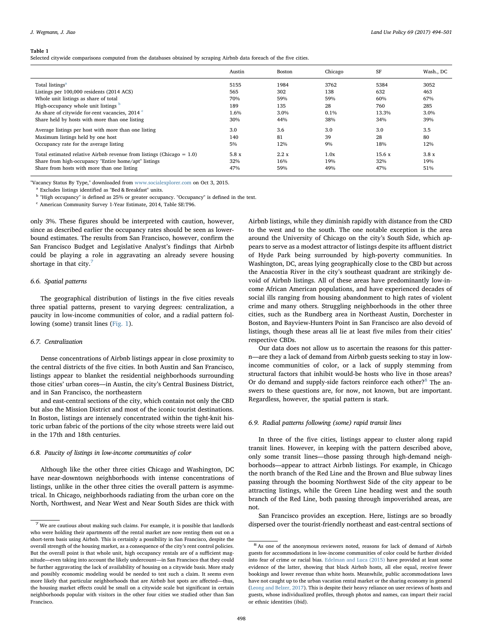#### <span id="page-4-0"></span>Table 1

Selected citywide comparisons computed from the databases obtained by scraping Airbnb data foreach of the five cities.

|                                                                          | Austin | Boston | Chicago | <b>SF</b> | Wash., DC |
|--------------------------------------------------------------------------|--------|--------|---------|-----------|-----------|
| Total listings <sup>a</sup>                                              | 5155   | 1984   | 3762    | 5384      | 3052      |
| Listings per 100,000 residents (2014 ACS)                                | 565    | 302    | 138     | 632       | 463       |
| Whole unit listings as share of total                                    | 70%    | 59%    | 59%     | 60%       | 67%       |
| High-occupancy whole unit listings b                                     | 189    | 135    | 28      | 760       | 285       |
| As share of citywide for-rent vacancies, 2014 °                          | 1.6%   | 3.0%   | 0.1%    | 13.3%     | 3.0%      |
| Share held by hosts with more than one listing                           | 30%    | 44%    | 38%     | 34%       | 39%       |
| Average listings per host with more than one listing                     | 3.0    | 3.6    | 3.0     | 3.0       | 3.5       |
| Maximum listings held by one host                                        | 140    | 81     | 39      | 28        | 80        |
| Occupancy rate for the average listing                                   | 5%     | 12%    | 9%      | 18%       | 12%       |
| Total estimated relative Airbnb revenue from listings (Chicago $= 1.0$ ) | 5.8x   | 2.2x   | 1.0x    | 15.6x     | 3.8x      |
| Share from high-occupancy "Entire home/apt" listings                     | 32%    | 16%    | 19%     | 32%       | 19%       |
| Share from hosts with more than one listing                              | 47%    | 59%    | 49%     | 47%       | 51%       |

"Vacancy Status By Type," downloaded from [www.socialexplorer.com](http://www.socialexplorer.com) on Oct 3, 2015.

<span id="page-4-3"></span><sup>a</sup> Excludes listings identified as "Bed & Breakfast" units.

<span id="page-4-4"></span><sup>b</sup> "High occupancy" is defined as 25% or greater occupancy. "Occupancy" is defined in the text.

<span id="page-4-5"></span><sup>c</sup> American Community Survey 1-Year Estimate, 2014, Table SE:T96.

only 3%. These figures should be interpreted with caution, however, since as described earlier the occupancy rates should be seen as lowerbound estimates. The results from San Francisco, however, confirm the San Francisco Budget and Legislative Analyst's findings that Airbnb could be playing a role in aggravating an already severe housing shortage in that city.<sup>[7](#page-4-1)</sup>

#### 6.6. Spatial patterns

The geographical distribution of listings in the five cities reveals three spatial patterns, present to varying degrees: centralization, a paucity in low-income communities of color, and a radial pattern following (some) transit lines ([Fig. 1\)](#page-5-0).

#### 6.7. Centralization

Dense concentrations of Airbnb listings appear in close proximity to the central districts of the five cities. In both Austin and San Francisco, listings appear to blanket the residential neighborhoods surrounding those cities' urban cores—in Austin, the city's Central Business District, and in San Francisco, the northeastern

and east-central sections of the city, which contain not only the CBD but also the Mission District and most of the iconic tourist destinations. In Boston, listings are intensely concentrated within the tight-knit historic urban fabric of the portions of the city whose streets were laid out in the 17th and 18th centuries.

#### 6.8. Paucity of listings in low-income communities of color

Although like the other three cities Chicago and Washington, DC have near-downtown neighborhoods with intense concentrations of listings, unlike in the other three cities the overall pattern is asymmetrical. In Chicago, neighborhoods radiating from the urban core on the North, Northwest, and Near West and Near South Sides are thick with

Airbnb listings, while they diminish rapidly with distance from the CBD to the west and to the south. The one notable exception is the area around the University of Chicago on the city's South Side, which appears to serve as a modest attractor of listings despite its affluent district of Hyde Park being surrounded by high-poverty communities. In Washington, DC, areas lying geographically close to the CBD but across the Anacostia River in the city's southeast quadrant are strikingly devoid of Airbnb listings. All of these areas have predominantly low-income African American populations, and have experienced decades of social ills ranging from housing abandonment to high rates of violent crime and many others. Struggling neighborhoods in the other three cities, such as the Rundberg area in Northeast Austin, Dorchester in Boston, and Bayview-Hunters Point in San Francisco are also devoid of listings, though these areas all lie at least five miles from their cities' respective CBDs.

Our data does not allow us to ascertain the reasons for this pattern—are they a lack of demand from Airbnb guests seeking to stay in lowincome communities of color, or a lack of supply stemming from structural factors that inhibit would-be hosts who live in those areas? Or do demand and supply-side factors reinforce each other? $8$  The answers to these questions are, for now, not known, but are important. Regardless, however, the spatial pattern is stark.

#### 6.9. Radial patterns following (some) rapid transit lines

In three of the five cities, listings appear to cluster along rapid transit lines. However, in keeping with the pattern described above, only some transit lines—those passing through high-demand neighborhoods—appear to attract Airbnb listings. For example, in Chicago the north branch of the Red Line and the Brown and Blue subway lines passing through the booming Northwest Side of the city appear to be attracting listings, while the Green Line heading west and the south branch of the Red Line, both passing through impoverished areas, are not.

San Francisco provides an exception. Here, listings are so broadly dispersed over the tourist-friendly northeast and east-central sections of

<span id="page-4-1"></span><sup>7</sup> We are cautious about making such claims. For example, it is possible that landlords who were holding their apartments off the rental market are now renting them out on a short-term basis using Airbnb. This is certainly a possibility in San Francisco, despite the overall strength of the housing market, as a consequence of the city's rent control policies. But the overall point is that whole unit, high occupancy rentals are of a sufficient magnitude—even taking into account the likely undercount—in San Francisco that they could be further aggravating the lack of availability of housing on a citywide basis. More study and possibly economic modeling would be needed to test such a claim. It seems even more likely that particular neighborhoods that are Airbnb hot spots are affected—thus, the housing market effects could be small on a citywide scale but significant in certain neighborhoods popular with visitors in the other four cities we studied other than San Francisco.

<span id="page-4-2"></span><sup>&</sup>lt;sup>8</sup> As one of the anonymous reviewers noted, reasons for lack of demand of Airbnb guests for accommodations in low-income communities of color could be further divided into fear of crime or racial bias. [Edelman and Luca \(2015\)](#page-7-16) have provided at least some evidence of the latter, showing that black Airbnb hosts, all else equal, receive fewer bookings and lower revenue than white hosts. Meanwhile, public accommodations laws have not caught up to the urban vacation rental market or the sharing economy in general ([Leong and Belzer, 2017\)](#page-7-17). This is despite their heavy reliance on user reviews of hosts and guests, whose individualized profiles, through photos and names, can impart their racial or ethnic identities (ibid).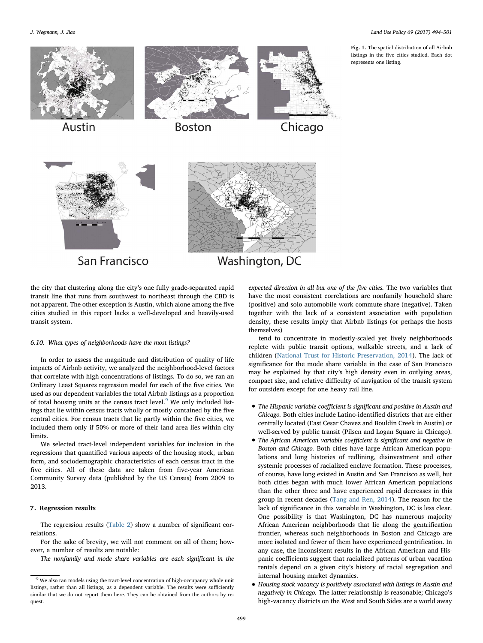J. Wegmann, J. Jiao *Land Use Policy 69 (2017) 494–501*

Fig. 1. The spatial distribution of all Airbnb listings in the five cities studied. Each dot

represents one listing.

<span id="page-5-0"></span>

# San Francisco

# Washington, DC

the city that clustering along the city's one fully grade-separated rapid transit line that runs from southwest to northeast through the CBD is not apparent. The other exception is Austin, which alone among the five cities studied in this report lacks a well-developed and heavily-used transit system.

### 6.10. What types of neighborhoods have the most listings?

In order to assess the magnitude and distribution of quality of life impacts of Airbnb activity, we analyzed the neighborhood-level factors that correlate with high concentrations of listings. To do so, we ran an Ordinary Least Squares regression model for each of the five cities. We used as our dependent variables the total Airbnb listings as a proportion of total housing units at the census tract level.<sup>[9](#page-5-1)</sup> We only included listings that lie within census tracts wholly or mostly contained by the five central cities. For census tracts that lie partly within the five cities, we included them only if 50% or more of their land area lies within city limits.

We selected tract-level independent variables for inclusion in the regressions that quantified various aspects of the housing stock, urban form, and sociodemographic characteristics of each census tract in the five cities. All of these data are taken from five-year American Community Survey data (published by the US Census) from 2009 to 2013.

# 7. Regression results

The regression results [\(Table 2\)](#page-6-0) show a number of significant correlations.

For the sake of brevity, we will not comment on all of them; however, a number of results are notable:

The nonfamily and mode share variables are each significant in the

expected direction in all but one of the five cities. The two variables that have the most consistent correlations are nonfamily household share (positive) and solo automobile work commute share (negative). Taken together with the lack of a consistent association with population density, these results imply that Airbnb listings (or perhaps the hosts themselves)

tend to concentrate in modestly-scaled yet lively neighborhoods replete with public transit options, walkable streets, and a lack of children ([National Trust for Historic Preservation, 2014](#page-7-18)). The lack of significance for the mode share variable in the case of San Francisco may be explained by that city's high density even in outlying areas, compact size, and relative difficulty of navigation of the transit system for outsiders except for one heavy rail line.

- The Hispanic variable coefficient is significant and positive in Austin and Chicago. Both cities include Latino-identified districts that are either centrally located (East Cesar Chavez and Bouldin Creek in Austin) or well-served by public transit (Pilsen and Logan Square in Chicago).
- The African American variable coefficient is significant and negative in Boston and Chicago. Both cities have large African American populations and long histories of redlining, disinvestment and other systemic processes of racialized enclave formation. These processes, of course, have long existed in Austin and San Francisco as well, but both cities began with much lower African American populations than the other three and have experienced rapid decreases in this group in recent decades [\(Tang and Ren, 2014](#page-7-19)). The reason for the lack of significance in this variable in Washington, DC is less clear. One possibility is that Washington, DC has numerous majority African American neighborhoods that lie along the gentrification frontier, whereas such neighborhoods in Boston and Chicago are more isolated and fewer of them have experienced gentrification. In any case, the inconsistent results in the African American and Hispanic coefficients suggest that racialized patterns of urban vacation rentals depend on a given city's history of racial segregation and internal housing market dynamics.
- Housing stock vacancy is positively associated with listings in Austin and negatively in Chicago. The latter relationship is reasonable; Chicago's high-vacancy districts on the West and South Sides are a world away

<span id="page-5-1"></span><sup>9</sup> We also ran models using the tract-level concentration of high-occupancy whole unit listings, rather than all listings, as a dependent variable. The results were sufficiently similar that we do not report them here. They can be obtained from the authors by request.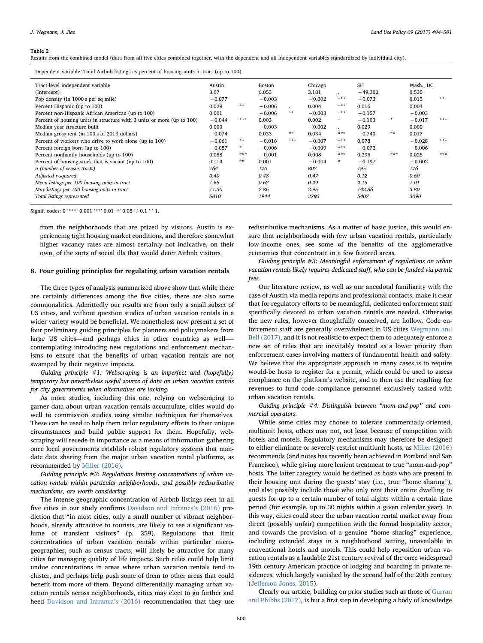#### <span id="page-6-0"></span>Table 2

Results from the combined model (data from all five cities combined together, with the dependent and all independent variables standardized by individual city).

Dependent variable: Total Airbnb listings as percent of housing units in tract (up to 100)

| Tract-level independent variable                                       |          |                 | <b>Boston</b> |     | Chicago  |               | SF        |               | Wash., DC |     |
|------------------------------------------------------------------------|----------|-----------------|---------------|-----|----------|---------------|-----------|---------------|-----------|-----|
| (Intercept)                                                            | 3.07     |                 | 6.055         |     | 3.181    |               | $-49.302$ |               | 0.530     |     |
| Pop density (in 1000 s per sq mile)                                    | $-0.077$ |                 | $-0.003$      |     | $-0.002$ | ***           | $-0.073$  |               | 0.015     | **  |
| Percent Hispanic (up to 100)                                           |          | **              | $-0.006$      |     | 0.004    | ***           | 0.016     |               | 0.004     |     |
| Percent non-Hispanic African American (up to 100)                      |          |                 | $-0.006$      | **  | $-0.003$ | ***           | $-0.157$  |               | $-0.003$  |     |
| Percent of housing units in structure with 3 units or more (up to 100) | $-0.044$ | ***             | 0.003         |     | 0.002    | $\mathcal{R}$ | $-0.103$  | $\mathcal{R}$ | $-0.017$  | *** |
| Median year structure built                                            | 0.000    |                 | $-0.003$      |     | $-0.002$ | $\sim$        | 0.029     |               | 0.000     |     |
| Median gross rent (in 100 s of 2013 dollars)                           | $-0.074$ |                 | 0.033         | **  | 0.034    | ***           | $-0.740$  | **            | 0.017     |     |
| Percent of workers who drive to work alone (up to 100)                 | $-0.061$ | **              | $-0.016$      | *** | $-0.007$ | ***           | 0.078     |               | $-0.028$  | *** |
| Percent foreign born (up to 100)                                       | $-0.057$ | $\mathcal{R}^-$ | $-0.006$      |     | $-0.009$ | ***           | $-0.072$  |               | $-0.006$  |     |
| Percent nonfamily households (up to 100)                               | 0.088    | ***             | $-0.001$      |     | 0.008    | ***           | 0.295     | ***           | 0.028     | *** |
| Percent of housing stock that is vacant (up to 100)                    | 0.114    | **              | 0.001         |     | $-0.004$ | $\star$       | $-0.197$  |               | $-0.002$  |     |
| n (number of census tracts)                                            | 164      |                 | 170           |     | 803      |               | 195       |               | 176       |     |
| Adjusted r-squared                                                     | 0.40     |                 | 0.48          |     | 0.47     |               | 0.12      |               | 0.60      |     |
| Mean listings per 100 housing units in tract                           | 1.68     |                 | 0.67          |     | 0.29     |               | 2.15      |               | 1.01      |     |
| Max listings per 100 housing units in tract                            | 11.30    |                 | 2.86          |     | 2.95     |               | 142.86    |               | 3.80      |     |
| Total listings represented                                             | 5010     |                 | 1944          |     | 3793     |               | 5407      |               | 3090      |     |
|                                                                        |          |                 |               |     |          |               |           |               |           |     |

Signif. codes: 0 '\*\*\*' 0.001 '\*\*' 0.01 '\*' 0.05 '.' 0.1 ' ' 1.

from the neighborhoods that are prized by visitors. Austin is experiencing tight housing market conditions, and therefore somewhat higher vacancy rates are almost certainly not indicative, on their own, of the sorts of social ills that would deter Airbnb visitors.

#### 8. Four guiding principles for regulating urban vacation rentals

The three types of analysis summarized above show that while there are certainly differences among the five cities, there are also some commonalities. Admittedly our results are from only a small subset of US cities, and without question studies of urban vacation rentals in a wider variety would be beneficial. We nonetheless now present a set of four preliminary guiding principles for planners and policymakers from large US cities—and perhaps cities in other countries as well— contemplating introducing new regulations and enforcement mechanisms to ensure that the benefits of urban vacation rentals are not swamped by their negative impacts.

Guiding principle #1: Webscraping is an imperfect and (hopefully) temporary but nevertheless useful source of data on urban vacation rentals for city governments when alternatives are lacking.

As more studies, including this one, relying on webscraping to garner data about urban vacation rentals accumulate, cities would do well to commission studies using similar techniques for themselves. These can be used to help them tailor regulatory efforts to their unique circumstances and build public support for them. Hopefully, webscraping will recede in importance as a means of information gathering once local governments establish robust regulatory systems that mandate data sharing from the major urban vacation rental platforms, as recommended by [Miller \(2016\)](#page-7-9).

Guiding principle #2: Regulations limiting concentrations of urban vacation rentals within particular neighborhoods, and possibly redistributive mechanisms, are worth considering.

The intense geographic concentration of Airbnb listings seen in all five cities in our study confirms [Davidson and Infranca](#page-7-8)'s (2016) prediction that "in most cities, only a small number of vibrant neighborhoods, already attractive to tourists, are likely to see a significant volume of transient visitors" (p. 259). Regulations that limit concentrations of urban vacation rentals within particular microgeographies, such as census tracts, will likely be attractive for many cities for managing quality of life impacts. Such rules could help limit undue concentrations in areas where urban vacation rentals tend to cluster, and perhaps help push some of them to other areas that could benefit from more of them. Beyond differentially managing urban vacation rentals across neighborhoods, cities may elect to go further and heed [Davidson and Infranca](#page-7-8)'s (2016) recommendation that they use redistributive mechanisms. As a matter of basic justice, this would ensure that neighborhoods with few urban vacation rentals, particularly low-income ones, see some of the benefits of the agglomerative economies that concentrate in a few favored areas.

Guiding principle #3: Meaningful enforcement of regulations on urban vacation rentals likely requires dedicated staff, who can be funded via permit fees.

Our literature review, as well as our anecdotal familiarity with the case of Austin via media reports and professional contacts, make it clear that for regulatory efforts to be meaningful, dedicated enforcement staff specifically devoted to urban vacation rentals are needed. Otherwise the new rules, however thoughtfully conceived, are hollow. Code enforcement staff are generally overwhelmed in US cities [Wegmann and](#page-7-20) [Bell \(2017\),](#page-7-20) and it is not realistic to expect them to adequately enforce a new set of rules that are inevitably treated as a lower priority than enforcement cases involving matters of fundamental health and safety. We believe that the appropriate approach in many cases is to require would-be hosts to register for a permit, which could be used to assess compliance on the platform's website, and to then use the resulting fee revenues to fund code compliance personnel exclusively tasked with urban vacation rentals.

Guiding principle #4: Distinguish between "mom-and-pop" and commercial operators.

While some cities may choose to tolerate commercially-oriented, multiunit hosts, others may not, not least because of competition with hotels and motels. Regulatory mechanisms may therefore be designed to either eliminate or severely restrict multiunit hosts, as [Miller \(2016\)](#page-7-9) recommends (and notes has recently been achieved in Portland and San Francisco), while giving more lenient treatment to true "mom-and-pop" hosts. The latter category would be defined as hosts who are present in their housing unit during the guests' stay (i.e., true "home sharing"), and also possibly include those who only rent their entire dwelling to guests for up to a certain number of total nights within a certain time period (for example, up to 30 nights within a given calendar year). In this way, cities could steer the urban vacation rental market away from direct (possibly unfair) competition with the formal hospitality sector, and towards the provision of a genuine "home sharing" experience, including extended stays in a neighborhood setting, unavailable in conventional hotels and motels. This could help reposition urban vacation rentals as a laudable 21st century revival of the once widespread 19th century American practice of lodging and boarding in private residences, which largely vanished by the second half of the 20th century (Jeff[erson-Jones, 2015\)](#page-7-21).

Clearly our article, building on prior studies such as those of [Gurran](#page-7-11) [and Phibbs \(2017\)](#page-7-11), is but a first step in developing a body of knowledge